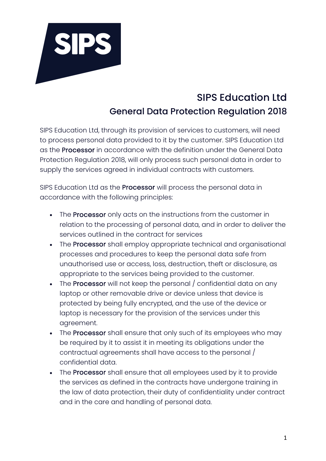

## SIPS Education Ltd General Data Protection Regulation 2018

SIPS Education Ltd, through its provision of services to customers, will need to process personal data provided to it by the customer. SIPS Education Ltd as the Processor in accordance with the definition under the General Data Protection Regulation 2018, will only process such personal data in order to supply the services agreed in individual contracts with customers.

SIPS Education Ltd as the Processor will process the personal data in accordance with the following principles:

- The Processor only acts on the instructions from the customer in relation to the processing of personal data, and in order to deliver the services outlined in the contract for services
- The Processor shall employ appropriate technical and organisational processes and procedures to keep the personal data safe from unauthorised use or access, loss, destruction, theft or disclosure, as appropriate to the services being provided to the customer.
- The Processor will not keep the personal / confidential data on any laptop or other removable drive or device unless that device is protected by being fully encrypted, and the use of the device or laptop is necessary for the provision of the services under this agreement.
- The Processor shall ensure that only such of its employees who may be required by it to assist it in meeting its obligations under the contractual agreements shall have access to the personal / confidential data.
- The Processor shall ensure that all employees used by it to provide the services as defined in the contracts have undergone training in the law of data protection, their duty of confidentiality under contract and in the care and handling of personal data.